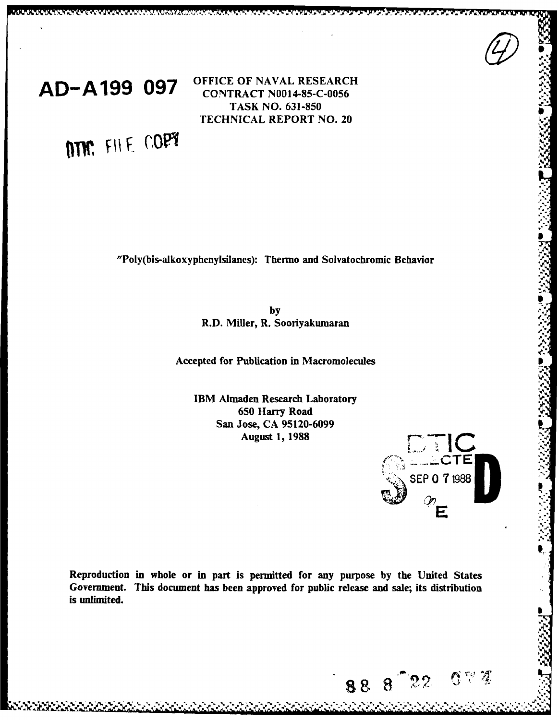



**LONGON CAR CONTRACTOR** 

**OFFICE** OF **NAVAL** RESEARCH **, AD-A199 097** *OFFICE OF NAVAL RESEARC*<br>**CONTRACT N0014-85-C-0056** TASK **NO. 631-850 TECHNICAL REPORT NO. 20** 

MM. FILE COPY

"Poly(bis-alkoxyphenylsilanes): Thermo and Solvatochromic Behavior

**by R.D.** Miller, R. Sooriyakumaran

Accepted for Publication in Macromolecules

**IBM Almaden Research Laboratory 650** Harry Road San Jose, **CA 95120-6099**



I

Reproduction in whole or in part is permitted for any purpose **by** the United States Government. This document has been approved for public release and sale; its distribution is unlimited.

**k k k k k k c c c k k k k k k c c c c k k k**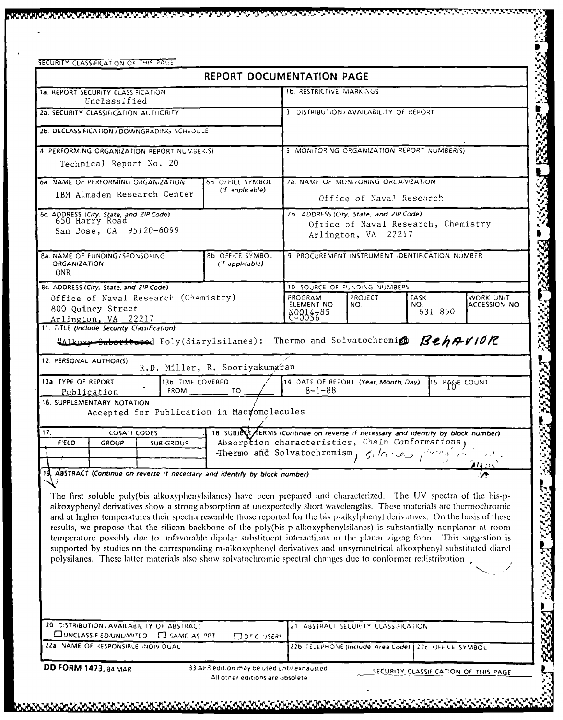|                                                                                                                                                            |                                       | <b>REPORT DOCUMENTATION PAGE</b>                                                                                                                                                                                                                                                                                                                                                                                                                                                                                                                                                                                                                                                                                                                                                                                                                                              |  |  |  |
|------------------------------------------------------------------------------------------------------------------------------------------------------------|---------------------------------------|-------------------------------------------------------------------------------------------------------------------------------------------------------------------------------------------------------------------------------------------------------------------------------------------------------------------------------------------------------------------------------------------------------------------------------------------------------------------------------------------------------------------------------------------------------------------------------------------------------------------------------------------------------------------------------------------------------------------------------------------------------------------------------------------------------------------------------------------------------------------------------|--|--|--|
| <b>1a. REPORT SECURITY CLASSIFICATION</b>                                                                                                                  |                                       | <b>1b. RESTRICTIVE MARKINGS</b>                                                                                                                                                                                                                                                                                                                                                                                                                                                                                                                                                                                                                                                                                                                                                                                                                                               |  |  |  |
| Unclassified<br>2a. SECURITY CLASSIFICATION AUTHORITY                                                                                                      |                                       | 3. DISTRIBUTION/AVAILABILITY OF REPORT                                                                                                                                                                                                                                                                                                                                                                                                                                                                                                                                                                                                                                                                                                                                                                                                                                        |  |  |  |
|                                                                                                                                                            |                                       |                                                                                                                                                                                                                                                                                                                                                                                                                                                                                                                                                                                                                                                                                                                                                                                                                                                                               |  |  |  |
| 2b. DECLASSIFICATION / DOWNGRADING SCHEDULE                                                                                                                |                                       |                                                                                                                                                                                                                                                                                                                                                                                                                                                                                                                                                                                                                                                                                                                                                                                                                                                                               |  |  |  |
| 4. PERFORMING ORGANIZATION REPORT NUMBERS)                                                                                                                 |                                       | 5. MONITORING ORGANIZATION REPORT NUMBER(S)                                                                                                                                                                                                                                                                                                                                                                                                                                                                                                                                                                                                                                                                                                                                                                                                                                   |  |  |  |
| Technical Report No. 20                                                                                                                                    |                                       |                                                                                                                                                                                                                                                                                                                                                                                                                                                                                                                                                                                                                                                                                                                                                                                                                                                                               |  |  |  |
| 6a. NAME OF PERFORMING ORGANIZATION                                                                                                                        | 6b. OFFICE SYMBOL<br>(If applicable)  | 7a. NAME OF MONITORING ORGANIZATION<br>Office of Naval Research                                                                                                                                                                                                                                                                                                                                                                                                                                                                                                                                                                                                                                                                                                                                                                                                               |  |  |  |
| IBM Almaden Research Center                                                                                                                                |                                       |                                                                                                                                                                                                                                                                                                                                                                                                                                                                                                                                                                                                                                                                                                                                                                                                                                                                               |  |  |  |
| 6c. ADDRESS (City, State, and ZIP Code)<br>650 Harry Road                                                                                                  |                                       | 7b. ADDRESS (City, State, and ZIP Code)                                                                                                                                                                                                                                                                                                                                                                                                                                                                                                                                                                                                                                                                                                                                                                                                                                       |  |  |  |
| San Jose, CA 95120-6099                                                                                                                                    |                                       | Office of Naval Research, Chemistry<br>Arlington, VA 22217                                                                                                                                                                                                                                                                                                                                                                                                                                                                                                                                                                                                                                                                                                                                                                                                                    |  |  |  |
|                                                                                                                                                            |                                       |                                                                                                                                                                                                                                                                                                                                                                                                                                                                                                                                                                                                                                                                                                                                                                                                                                                                               |  |  |  |
| 8a. NAME OF FUNDING / SPONSORING<br><b>ORGANIZATION</b><br><b>ONR</b>                                                                                      | 8b. OFFICE SYMBOL<br>(f applicable)   | 9. PROCUREMENT INSTRUMENT IDENTIFICATION NUMBER                                                                                                                                                                                                                                                                                                                                                                                                                                                                                                                                                                                                                                                                                                                                                                                                                               |  |  |  |
| 8c. ADDRESS (City, State, and ZIP Code)                                                                                                                    |                                       | 10 SOURCE OF FUNDING NUMBERS                                                                                                                                                                                                                                                                                                                                                                                                                                                                                                                                                                                                                                                                                                                                                                                                                                                  |  |  |  |
| Office of Naval Research (Chemistry)                                                                                                                       |                                       | WORK UNIT<br>PROGRAM<br>PROJECT<br><b>TASK</b><br><b>ACCESSION NO</b><br>ELEMENT NO<br>NO.<br>NO.                                                                                                                                                                                                                                                                                                                                                                                                                                                                                                                                                                                                                                                                                                                                                                             |  |  |  |
| 800 Quincy Street<br>Arlington, VA 22217                                                                                                                   |                                       | $631 - 850$<br>8988585                                                                                                                                                                                                                                                                                                                                                                                                                                                                                                                                                                                                                                                                                                                                                                                                                                                        |  |  |  |
| 12. PERSONAL AUTHOR(S)<br>13a. TYPE OF REPORT<br>13b. TIME COVERED<br><b>FROM</b><br>Publication                                                           | R.D. Miller, R. Sooriyakumaran<br>TO. | 14. DATE OF REPORT (Year, Month, Day)<br>15. PAGE COUNT<br>$8 - 1 - 88$                                                                                                                                                                                                                                                                                                                                                                                                                                                                                                                                                                                                                                                                                                                                                                                                       |  |  |  |
| 16. SUPPLEMENTARY NOTATION<br>Accepted for Publication in Macyomolecules<br>17.<br><b>COSATI CODES</b><br><b>FIELD</b><br><b>GROUP</b><br><b>SUB-GROUP</b> |                                       | 18. SUBJECT FERMS (Continue on reverse if necessary and identify by block number)<br>Absorption characteristics, Chain Conformations,<br>$\mathcal{B}=\mathcal{A}+\mathcal{A}$                                                                                                                                                                                                                                                                                                                                                                                                                                                                                                                                                                                                                                                                                                |  |  |  |
| 19. ABSTRACT (Continue on reverse if necessary and identify by block number)                                                                               |                                       | Thermo and Solvatochromism, $\zeta_l/c_l$ :                                                                                                                                                                                                                                                                                                                                                                                                                                                                                                                                                                                                                                                                                                                                                                                                                                   |  |  |  |
|                                                                                                                                                            |                                       | The first soluble poly(bis alkoxyphenylsilanes) have been prepared and characterized. The UV spectra of the bis-p-<br>alkoxyphenyl derivatives show a strong absorption at unexpectedly short wavelengths. These materials are thermochromic<br>and at higher temperatures their spectra resemble those reported for the bis p-alkylphenyl derivatives. On the basis of these<br>results, we propose that the silicon backbone of the poly(bis-p-alkoxyphenylsilanes) is substantially nonplanar at room<br>temperature possibly due to unfavorable dipolar substituent interactions in the planar zigzag form. This suggestion is<br>supported by studies on the corresponding m-alkoxyphenyl derivatives and unsymmetrical alkoxphenyl substituted diaryl<br>polysilanes. These latter materials also show solvatochromic spectral changes due to conformer redistribution. |  |  |  |

**SAN A SAN AN**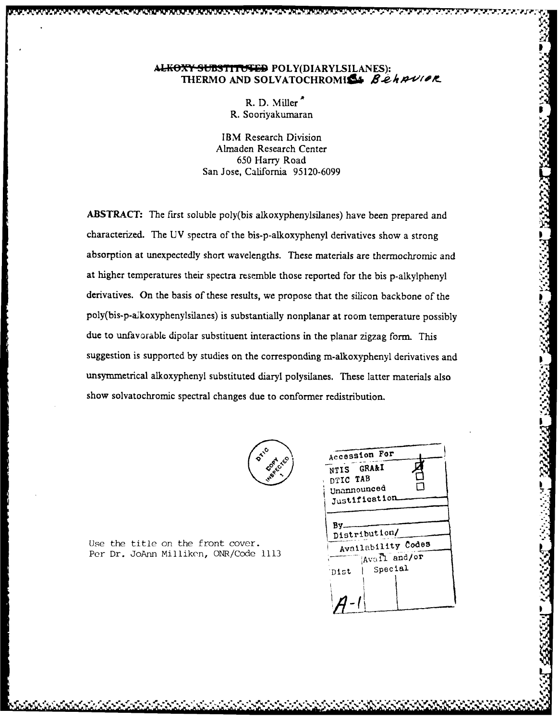## ALKOXY SUBSTITUTED POLY(DIARYLSILANES): THERMO AND SOLVATOCHROMISL Behavior

R. D. Miller R. Sooriyakumaran

IBM Research Division Almaden Research Center 650 Harry Road San Jose, California 95120-6099

ABSTRACT: The first soluble poly(bis alkoxyphenylsilanes) have been prepared and characterized. The UV spectra of the bis-p-alkoxyphenyl derivatives show a strong absorption at unexpectedly short wavelengths. These materials are thermochromic and at higher temperatures their spectra resemble those reported for the bis p-alkylphenyl derivatives. On the basis of these results, we propose that the silicon backbone of the poly(bis-p-alkoxyphenylsilanes) is substantially nonplanar at room temperature possibly due to unfavorable dipolar substituent interactions in the planar zigzag form. This suggestion is supported by studies on the corresponding m-alkoxyphenyl derivatives and unsymmetrical alkoxyphenyl substituted diaryl polysilanes. These latter materials also show solvatochromic spectral changes due to conformer redistribution.



Use the title on the front cover. Per Dr. JoAnn Milliken, ONR/Code 1113

| Accession For      |  |
|--------------------|--|
| NTIS GRA&I         |  |
| DTIC TAB           |  |
| Unannounced        |  |
| Justification.     |  |
|                    |  |
| By.                |  |
| Distribution/      |  |
| Availability Codes |  |
| Avail and/or       |  |
| Special<br>Dist    |  |
|                    |  |
|                    |  |
|                    |  |
|                    |  |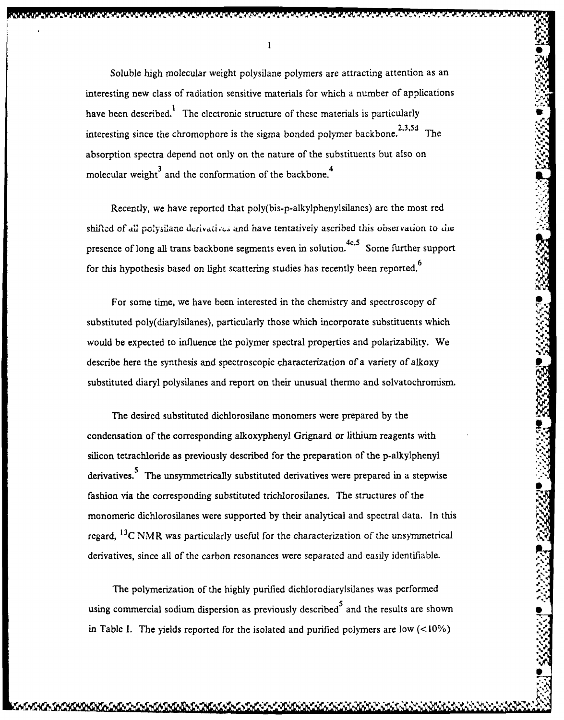Soluble high molecular weight polysilane polymers are attracting attention as an interesting new class of radiation sensitive materials for which a number of applications have been described.<sup>1</sup> The electronic structure of these materials is particularly interesting since the chromophore is the sigma bonded polymer backbone.<sup>2010</sup> The absorption spectra depend not only on the nature of the substituents but also on **<sup>34</sup>** molecular weight $3$  and the conformation of the backbone.<sup>4</sup>

Recently, we have reported that poly(bis-p-alkylphenylsilanes) are the most red shifted of all polysilane derivatives and have tentatively ascribed this observation to the presence of long all trans backbone segments even in solution.<sup>4c,5</sup> Some further support for this hypothesis based on light scattering studies has recently been reported. $6$ 

For some time, we have been interested in the chemistry and spectroscopy of substituted poly(diarylsilanes), particularly those which incorporate substituents which would be expected to influence the polymer spectral properties and polarizability. We describe here the synthesis and spectroscopic characterization of a variety of alkoxy substituted diaryl polysilanes and report on their unusual thermo and solvatochromism.

The desired substituted dichlorosilane monomers were prepared by the condensation of the corresponding alkoxyphenyl Grignard or lithium reagents with silicon tetrachloride as previously described for the preparation of the p-alkylphenyl derivatives.<sup>5</sup> The unsymmetrically substituted derivatives were prepared in a stepwise fashion via the corresponding substituted trichlorosilanes. The structures of the monomeric dichlorosilanes were supported by their analytical and spectral data. In this regard,  $^{13}$ C NMR was particularly useful for the characterization of the unsymmetrical derivatives, since all of the carbon resonances were separated and easily identifiable.

The polymerization of the highly purified dichlorodiarylsilanes was performed using commercial sodium dispersion as previously described<sup>5</sup> and the results are shown in Table I. The yields reported for the isolated and purified polymers are low  $(<10\%)$ 

**4%**

 $\mathbf{I}$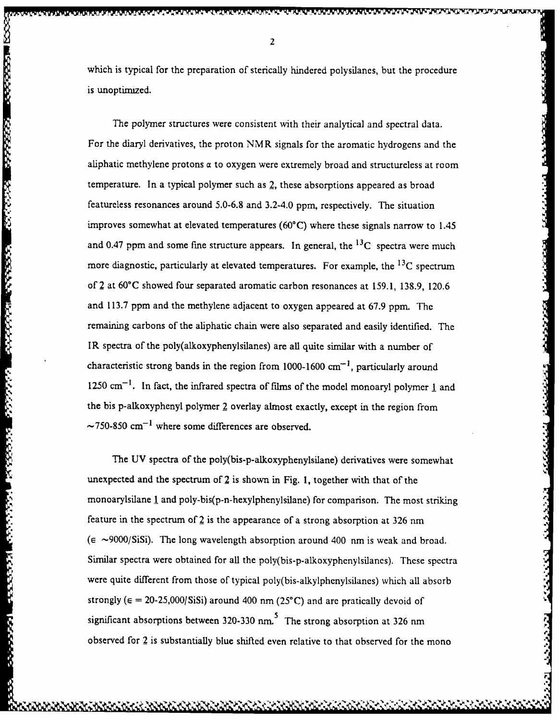which is typical for the preparation of sterically hindered polysilanes, but the procedure is unoptimized.

The polymer structures were consistent with their analytical and spectral data. For the diaryl derivatives, the proton NMR signals for the aromatic hydrogens and the aliphatic methylene protons  $\alpha$  to oxygen were extremely broad and structureless at room temperature. In a typical polymer such as 2, these absorptions appeared as broad featureless resonances around 5.0-6.8 and 3.2-4.0 ppm, respectively. The situation improves somewhat at elevated temperatures (60"C) where these signals narrow to 1.45 and 0.47 ppm and some fine structure appears. In general, the  ${}^{13}C$  spectra were much more diagnostic, particularly at elevated temperatures. For example, the  $^{13}C$  spectrum of 2 at 60"C showed four separated aromatic carbon resonances at 159.1, 138.9, 120.6 and 113.7 ppm and the methylene adjacent to oxygen appeared at 67.9 ppm. The remaining carbons of the aliphatic chain were also separated and easily identified. The IR spectra of the poly(alkoxyphenylsilanes) are all quite similar with a number of characteristic strong bands in the region from 1000-1600  $cm^{-1}$ , particularly around that derivative strong bands in the region from 1000-1000 cm<sup>-</sup>, particularly around<br>
1250 cm<sup>-1</sup>. In fact, the infrared spectra of films of the model monoaryl polymer 1 and<br>
the bis p-alkoxyphenyl polymer 2 overlay almos the bis p-alkoxyphenyl polymer 2 overlay almost exactly, except in the region from  $\sim$ 750-850 cm<sup>-1</sup> where some differences are observed.

boot weeded to relate the control of the control of the control

Kasara

377771

The UV spectra of the poly(bis-p-alkoxyphenylsilane) derivatives were somewhat unexpected and the spectrum of 2 is shown in Fig. **1,** together with that of the monoarylsilane **I** and poly-bis(p-n-hexylphenylsilane) for comparison. The most striking feature in the spectrum of  $2$  is the appearance of a strong absorption at 326 nm  $(\epsilon \sim 9000/SiSi)$ . The long wavelength absorption around 400 nm is weak and broad. Similar spectra were obtained for all the poly(bis-p-alkoxyphenylsilanes). These spectra were quite different from those of typical poly(bis-alkylphenylsilanes) which all absorb strongly ( $\epsilon = 20-25,000/S$ iSi) around 400 nm (25°C) and are pratically devoid of significant absorptions between  $320-330$  nm.<sup>5</sup> The strong absorption at 326 nm observed for  $2$  is substantially blue shifted even relative to that observed for the mono

<u> د د د د د د د د</u>

2333333

نترز زوز ورول

 $\overline{2}$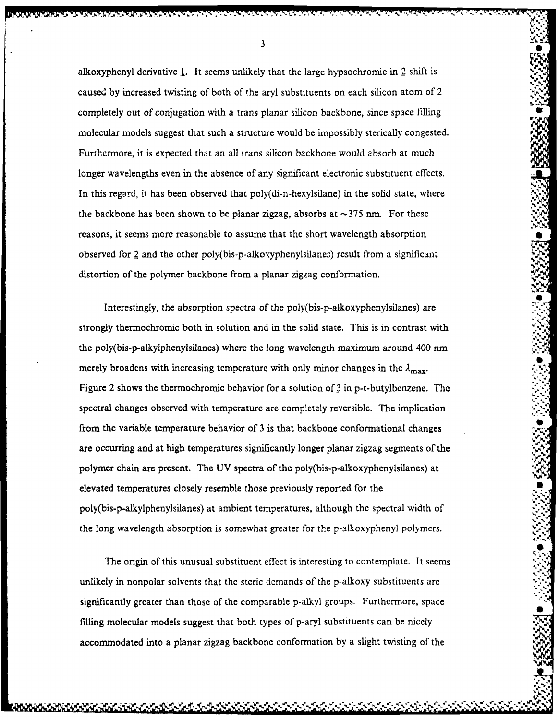alkoxyphenyl derivative **1.** It seems unlikely that the large hypsochromic in 2 shift is caused by increased twisting of both of the aryl substituents on each silicon atom of 2 completely out of conjugation with a trans planar silicon backbone, since space filling molecular models suggest that such a structure would be impossibly sterically congested. Furthermore, it is expected that an all trans silicon backbone would absorb at much longer wavelengths even in the absence of any significant electronic substituent effects. In this regard, it has been observed that poly(di-n-hexylsilane) in the solid state, where the backbone has been shown to be planar zigzag, absorbs at  $\sim$ 375 nm. For these reasons, it seems more reasonable to assume that the short wavelength absorption observed for 2 and the other poly(bis-p-alkoxyphenylsilanes) result from a significant distortion of the polymer backbone from a planar zigzag conformation.

Interestingly, the absorption spectra of the poly(bis-p-alkoxyphenylsilanes) are strongly thermochromic both in solution and in the solid state. This is in contrast with the poly(bis-p-alkylphenylsilanes) where the long wavelength maximum around *400* rim merely broadens with increasing temperature with only minor changes in the  $\lambda_{\text{max}}$ . Figure 2 shows the thermochromic behavior for a solution of 3 in p-t-butylbenzene. The spectral changes observed with temperature are completely reversible. The implication from the variable temperature behavior of  $\frac{3}{2}$  is that backbone conformational changes are occurring and at high temperatures significantly longer planar zigzag segments of the polymer chain are present. The UV spectra of the poly(bis-p-alkoxyphenylsilanes) at elevated temperatures closely resemble those previously reported for the poly(bis-p-alkylphenylsilanes) at ambient temperatures, although the spectral width of the long wavelength absorption is somewhat greater for the p-alkoxyphenyl polymers.

The origin of this unusual substituent effect is interesting to contemplate. It seems unlikely in nonpolar solvents that the steric demands of the p-alkoxy substituents are significantly greater than those of the comparable p-alkyl groups. Furthermore, space filling molecular models suggest that both types of p-aryl substituents can be nicely accommodated into a planar zigzag backbone conformation by a slight twisting of the

. **"-** , **,** ' "' . - -,- ,'. -**,,,** ., **-,** , **-** ,,, - ..-'-: ,- ' **-" <sup>i</sup>**

**6**

3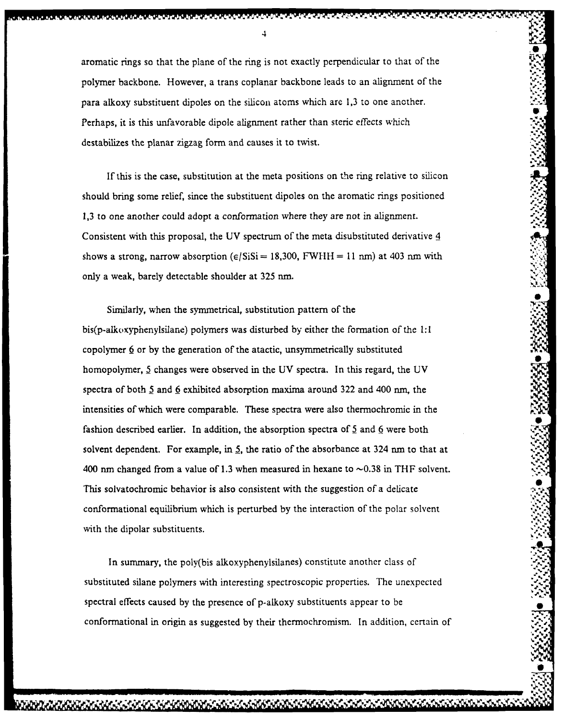aromatic rings so that the plane of the ring is not exactly perpendicular to that of the polymer backbone. However, a trans coplanar backbone leads to an alignment of the para alkoxy substituent dipoles on the silicon atoms which are 1,3 to one another. **<sup>S</sup>** Perhaps, it is this unfavorable dipole alignment rather than steric effects which destabilizes the planar zigzag form and causes it to twist.

**....** *d* **%**

S

If this is the case, substitution at the meta positions on the ring relative to silicon should bring some relief, since the substituent dipoles on the aromatic rings positioned 1,3 to one another could adopt a conformation where they are not in alignment. Consistent with this proposal, the UV spectrum of the meta disubstituted derivative 4 shows a strong, narrow absorption  $(\epsilon / S_i S_i = 18,300, FWHH = 11 \text{ nm})$  at 403 nm with only a weak, barely detectable shoulder at 325 nm.

Similarly, when the symmetrical, substitution pattern of the bis(p-alkoxyphenylsilane) polymers was disturbed by either the formation of the **1:1** copolymer **6** or by the generation of the atactic, unsymmetrically substituted homopolymer, **5** changes were observed in the UV spectra. In this regard, the UV spectra of both **5** and 6 exhibited absorption maxima around 322 and 400 nm, the intensities of which were comparable. These spectra were also thermochromic in the fashion described earlier. In addition, the absorption spectra of  $5$  and  $6$  were both solvent dependent. For example, in **5,** the ratio of the absorbance at 324 nm to that at 400 nm changed from a value of 1.3 when measured in hexane to  $\sim$  0.38 in THF solvent. This solvatochromic behavior is also consistent with the suggestion of a delicate conformational equilibrium which is perturbed by the interaction of the polar solvent with the dipolar substituents.

In summary, the poly(bis alkoxyphenylsilanes) constitute another class of substituted silane polymers with interesting spectroscopic properties. The unexpected spectral effects caused by the presence of p-alkoxy substituents appear to be conformational in origin as suggested **by** their thermochromism. In addition, certain of **64%**

*~\** ~ - p.\*~ ~ f\* - - ~ *~~\*~~fI* **'"**

4

لوائد الوراد الأوراد الأسال الأوراد الوائد الأوراد الأوراد الأوراد الأوراد والأوراد الأوراد والمورد والمورد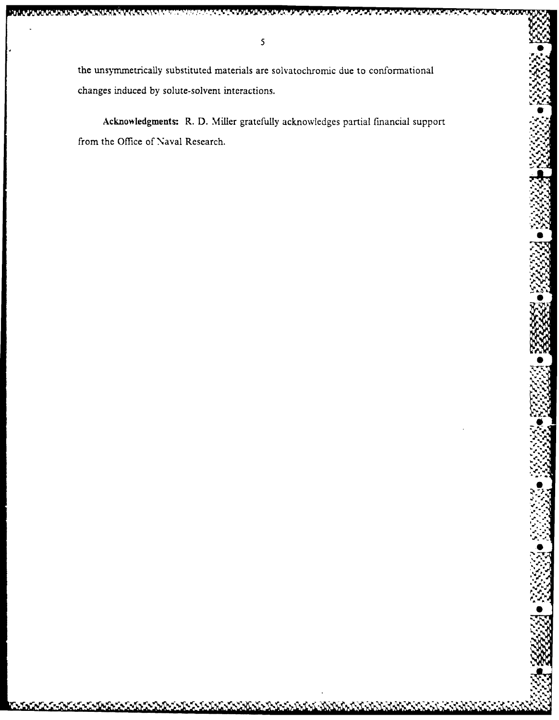**STATISTICS IN THE REAL PROPERTY** 

Acknowledgments: R. D. Miller gratefully acknowledges partial financial support from the Office of Naval Research.

しんしんごうしんしんしんしんしょう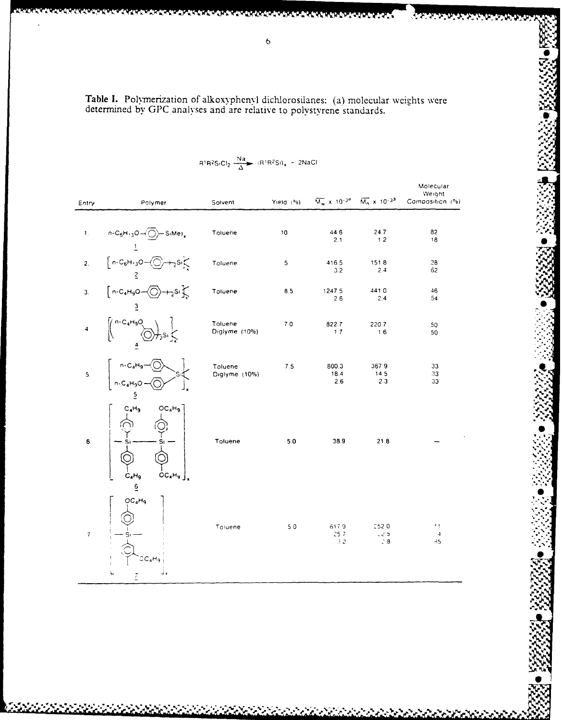Table I. Polymerization of alkoxyphenyl dichlorosilanes: (a) molecular weights were determined by GPC analyses and are relative to polystyrene standards.

| Entry                     | Polymer                                                                                                                                           | Solvent                  | Yield (%) |                      | $\overline{M_w}$ x 10 <sup>-34</sup> $\overline{M_n}$ x 10 <sup>-33</sup> | Molecular<br>Weight<br>Composition (%)  |
|---------------------------|---------------------------------------------------------------------------------------------------------------------------------------------------|--------------------------|-----------|----------------------|---------------------------------------------------------------------------|-----------------------------------------|
| $\mathbf{1}_{\mathbf{1}}$ | $n - C_6H_{13}O - \left(\bigcirc{)} - S_1Me\right)$                                                                                               | Toluene                  | 10        | 44.6<br>2.1          | 24.7<br>1.2                                                               | 82<br>18                                |
| 2.                        | $\left[ n - C_6 H_{1,3} O - \bigodot n \right]$                                                                                                   | Toluene                  | 5         | 416.5<br>3.2         | 1518<br>2.4                                                               | 38<br>62                                |
| 3.                        | $\left[n-C_4H_9O\right]\left(\bigcap_{\gamma\in\mathbb{N}}\frac{1}{\gamma^2}S_l\right)$<br>$\overline{3}$                                         | Toluene                  | 8.5       | 1247.5<br>2.6        | 4410<br>2.4                                                               | 46<br>54                                |
| 4                         | $\left(\begin{array}{c} n-C_4H_9O\\ \wedge\end{array}\right)$                                                                                     | Toluene<br>Diglyme (10%) | 7.0       | 822.7<br>1.7         | 220.7<br>16                                                               | 50<br>50                                |
| $\overline{\phantom{a}}$  | n-C <sub>4</sub> H <sub>9</sub> – $\left( \frac{1}{2} \right)$ n-C <sub>4</sub> H <sub>9</sub> O – $\left( \frac{1}{2} \right)$<br>$\overline{5}$ | Toluene<br>Diglyme (10%) | 7.5       | 800.3<br>18.4<br>2.6 | 367.9<br>14.5<br>2.3                                                      | 33<br>33<br>33                          |
| 6.                        | $C_4H_9$<br>OC <sub>4</sub> H <sub>9</sub><br>$\overline{OC_4H_9}$<br>$C_4H_9$<br>$\overline{e}$                                                  | Toluene                  | 5.0       | 38.9                 | 21.8                                                                      |                                         |
| $\overline{t}$            | OC <sub>a</sub> H <sub>9</sub><br>CC4H4                                                                                                           | Toiuene                  | 50        | 6179<br>257<br>32    | 252.0<br>225<br>$\stackrel{\scriptscriptstyle >}{\phantom{}_{\sim}} 8$    | $\pmb{\cdot}$ t<br>$\overline{4}$<br>35 |

 $R^1R^2SiCl_2 \xrightarrow[\Delta]{Na} (R^1R^2Si)_x \approx 2NaCl$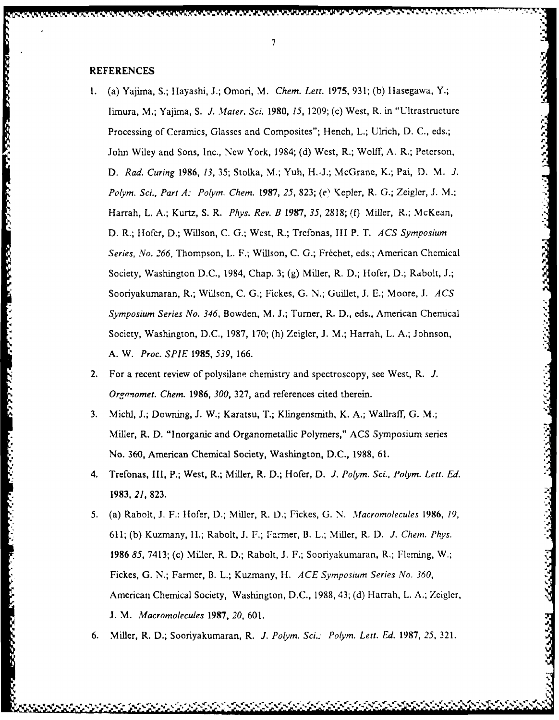1924 COOR BOOSS OF THE COORD PRESS STATE IN THE ST

الأنداء فالمرادا

コンパン しんしょう アクシアルカウンド

- **1.(a)** Yajirna, **S.;** Hayashi, **J.;** Omori, *M. Chem. Lett.* **1975, 93 1; (b) I** lasegawa, Y.; limura, M.; Yajima, **S.** *J. M~ater. Sci. 1980, 15,* **1209;** (c) West, R. in **"** Ultra structure Processing of Ceramics, Glasses and Composites"; Hench, L.; Ulrich, D. C., eds.; John Wiley and Sons, Inc., New York, 1984; **(d)** West, R.; Wolff, **A.** R.; Peterson, <sup>J</sup> **D.** *Rad. Curing 1986, 13,* **35;** Stolka, M.; Yuh, H.-J.; McGrane, K.; Pai, **D.** M. *J. Pc/yin. Sci., Part A: Pc/yin. Chemn. 1987, 25, 823;* **(el** Kepler, R. **G.;** Zeigler, **J.** M..: Harrah, L. **A.;** Kurtz, **S. R.** *Phys. Rev. B 1987, 35,* **2818; (0)** Miller, R.; McKean, **D.** R.; Hofer, **D.;** Willson, **C. G.;** West, R.; Trefonas, III P. **T.** *ACS Symposium Series, No. 266,* Thompson, L. F.; Willson, **C. G.;** Frtichet, eds.; American Chermical Society, Washington **D.C.,** 1984, Chap. **3; (g)** Miller, R. **D.;** Hofer, **D.;** Rdbolt, **J.;** Sooriyakumaran, R.; Willson, **C. G.;** Fickes, **G. N.;** Guillet, **J. E.;** Moore, **J.** *ACS SympsiumSeries No. 346,* Bowden, M. **J.;** Turner, R. **D.,** eds. American Chemical Society, Washington, **D.C., 1987, 170;** (h) Zeigler, **J.** M.; Harrah, L. **A.;** Johnson, **A.** WV. *Proc. SPIE 1985, 539,* **166.**
- 2. For a recent review of polysilane chemistry and spectroscopy, see West, R. *J. Organomet. Chem. 1986, 300,* **327,** and references cited therein.
- **3.** Michl, **J.;** Downing, **J.** W.; Karatsu, T.; Klingensmith, K. **A.;** Wallraff, **G.** M.; Miller, R. **D.** "Inorganic and Organometallic Polymers," **ACS** Symposium series No. **360,** American Chemical Society, Washington, **D.C., 1988, 61.**
- *4.* **Trefonas, 111, P.; West, R.; Miller, R. D.; Hofer, D.** *J. Po/yin. Sci., Polym. Lett. Ed.* **1983,** *21,* **823.**
- *5.* (a) Rabolt, **J.** F.: Hofer, **D.;** Miller, R. D.; Fickes, **G. N.** *Macromolecules 1986, 19,* **611; (b)** Kuzmany, H.; Rabolt, **J.** F.; Farmer, B. L.; Miller, R. **D.** *J. Chem. Phys.* 1986 85, 7413; (c) Miller, R. D.; Rabolt, J. F.; Sooriyakumaran, R.; Fleming, W.; Fickes, **G. N.;** Farmer, B. L.; Kuzmany, **I-1.** *ACE Symposium Series No. 360,* American Chemical Society, Washington, **D.C., 1988,** 43; **(d)** I larrah, L. **A.;** Zeigler, **J.** M. *Macromolecules 1987, 20,* **60 1.**
- **6.** Miller, R. **D.;** Sooriyakumaran, R. *1. Polym. Sci.: Pc/yin. Lett. Ed.* **1987,** *25,* **321.**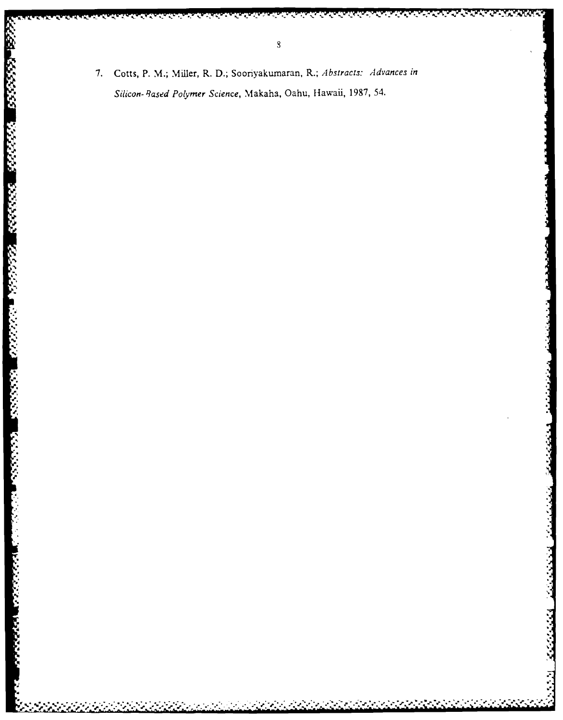7. Cotts, P. M.; Miller, R. D.; Sooriyakumaran, R.; Abstracts: Advances in Silicon-Based Polymer Science, Makaha, Oahu, Hawaii, 1987, 54.

**KA KIIII DI WATER KIIII DI WATER DI WATER STATES DI WATER DI WATER DI WATER DI WATER DI WATER DI WATER DI WATER** 

**BEST ASSESS** 

A TANGAN PERSONAL PROPERTY OF PROPERTY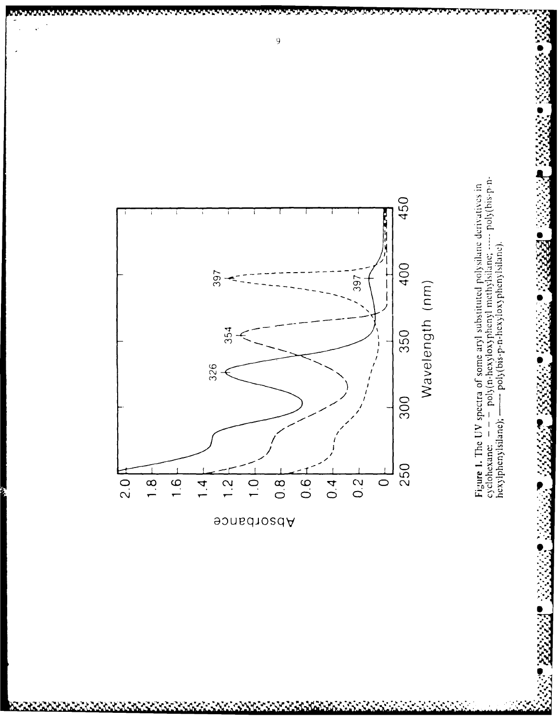

vois valoitais valoitais valoitais valoitais.<br>Talvia valoitais valoitais valoitais valoitais valoitais valoitais valoitais valoitais valoitais valoitais val

V.

かいこくこくこくこくこと

٦,

بالمراجع والمراجع